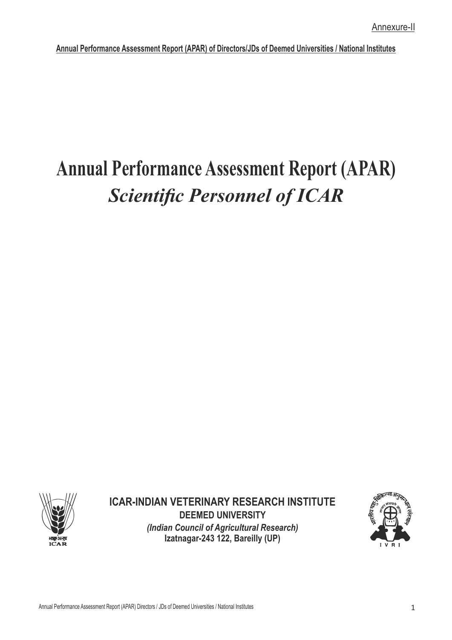# **Annual Performance Assessment Report (APAR) Scientific Personnel of ICAR**



**ICAR-INDIAN VETERINARY RESEARCH INSTITUTE DEEMED UNIVERSITY** *(Indian Council of Agricultural Research)* **Izatnagar-243 122, Bareilly (UP)**

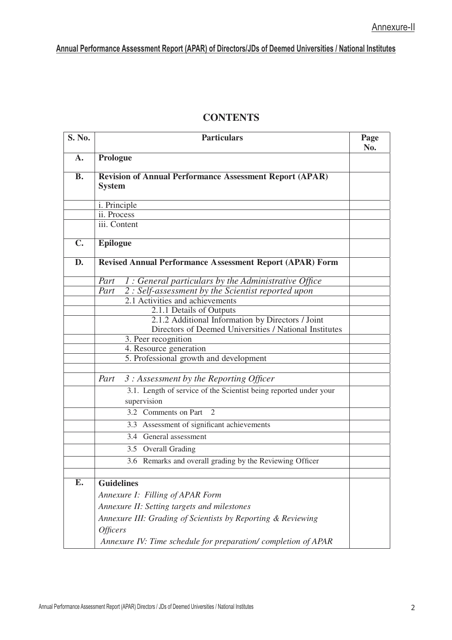| <b>CONTENTS</b> |
|-----------------|
|-----------------|

| <b>S. No.</b>  | <b>Particulars</b>                                                              | Page<br>No. |
|----------------|---------------------------------------------------------------------------------|-------------|
| $\mathbf{A}$ . | Prologue                                                                        |             |
| <b>B.</b>      | <b>Revision of Annual Performance Assessment Report (APAR)</b><br><b>System</b> |             |
|                | i. Principle                                                                    |             |
|                | ii. Process                                                                     |             |
|                | iii. Content                                                                    |             |
| $C_{\bullet}$  | <b>Epilogue</b>                                                                 |             |
| D.             | <b>Revised Annual Performance Assessment Report (APAR) Form</b>                 |             |
|                | 1 : General particulars by the Administrative Office<br>Part                    |             |
|                | 2 : Self-assessment by the Scientist reported upon<br>Part                      |             |
|                | 2.1 Activities and achievements                                                 |             |
|                | 2.1.1 Details of Outputs                                                        |             |
|                | 2.1.2 Additional Information by Directors / Joint                               |             |
|                | Directors of Deemed Universities / National Institutes                          |             |
|                | 3. Peer recognition<br>4. Resource generation                                   |             |
|                | 5. Professional growth and development                                          |             |
|                |                                                                                 |             |
|                | 3 : Assessment by the Reporting Officer<br>Part                                 |             |
|                | 3.1. Length of service of the Scientist being reported under your               |             |
|                | supervision                                                                     |             |
|                | 3.2 Comments on Part<br>$\overline{2}$                                          |             |
|                | 3.3 Assessment of significant achievements                                      |             |
|                | 3.4 General assessment                                                          |             |
|                | 3.5 Overall Grading                                                             |             |
|                | 3.6 Remarks and overall grading by the Reviewing Officer                        |             |
|                |                                                                                 |             |
| Е.             | <b>Guidelines</b>                                                               |             |
|                | Annexure I: Filling of APAR Form                                                |             |
|                | Annexure II: Setting targets and milestones                                     |             |
|                | Annexure III: Grading of Scientists by Reporting & Reviewing                    |             |
|                | <b>Officers</b>                                                                 |             |
|                | Annexure IV: Time schedule for preparation/completion of APAR                   |             |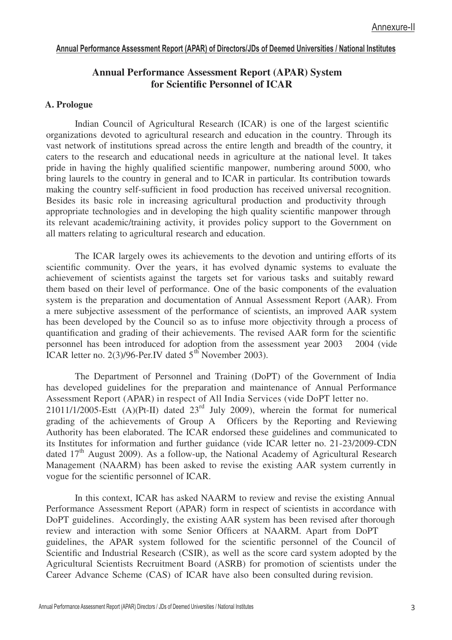### **Annual Performance Assessment Report (APAR) System for Scientific Personnel of ICAR**

#### **A. Prologue**

Indian Council of Agricultural Research (ICAR) is one of the largest scientific organizations devoted to agricultural research and education in the country. Through its vast network of institutions spread across the entire length and breadth of the country, it caters to the research and educational needs in agriculture at the national level. It takes pride in having the highly qualified scientific manpower, numbering around 5000, who bring laurels to the country in general and to ICAR in particular. Its contribution towards making the country self-sufficient in food production has received universal recognition. Besides its basic role in increasing agricultural production and productivity through appropriate technologies and in developing the high quality scientific manpower through its relevant academic/training activity, it provides policy support to the Government on all matters relating to agricultural research and education.

The ICAR largely owes its achievements to the devotion and untiring efforts of its scientific community. Over the years, it has evolved dynamic systems to evaluate the achievement of scientists against the targets set for various tasks and suitably reward them based on their level of performance. One of the basic components of the evaluation system is the preparation and documentation of Annual Assessment Report (AAR). From a mere subjective assessment of the performance of scientists, an improved AAR system has been developed by the Council so as to infuse more objectivity through a process of quantification and grading of their achievements. The revised AAR form for the scientific personnel has been introduced for adoption from the assessment year 2003 2004 (vide ICAR letter no. 2(3)/96-Per.IV dated  $5<sup>th</sup>$  November 2003).

The Department of Personnel and Training (DoPT) of the Government of India has developed guidelines for the preparation and maintenance of Annual Performance Assessment Report (APAR) in respect of All India Services (vide DoPT letter no. 21011/1/2005-Estt  $(A)(Pt-II)$  dated  $23<sup>rd</sup>$  July 2009), wherein the format for numerical grading of the achievements of Group A Officers by the Reporting and Reviewing Authority has been elaborated. The ICAR endorsed these guidelines and communicated to its Institutes for information and further guidance (vide ICAR letter no. 21-23/2009-CDN dated  $17<sup>th</sup>$  August 2009). As a follow-up, the National Academy of Agricultural Research Management (NAARM) has been asked to revise the existing AAR system currently in vogue for the scientific personnel of ICAR.

In this context, ICAR has asked NAARM to review and revise the existing Annual Performance Assessment Report (APAR) form in respect of scientists in accordance with DoPT guidelines. Accordingly, the existing AAR system has been revised after thorough review and interaction with some Senior Officers at NAARM. Apart from DoPT guidelines, the APAR system followed for the scientific personnel of the Council of Scientific and Industrial Research (CSIR), as well as the score card system adopted by the Agricultural Scientists Recruitment Board (ASRB) for promotion of scientists under the Career Advance Scheme (CAS) of ICAR have also been consulted during revision.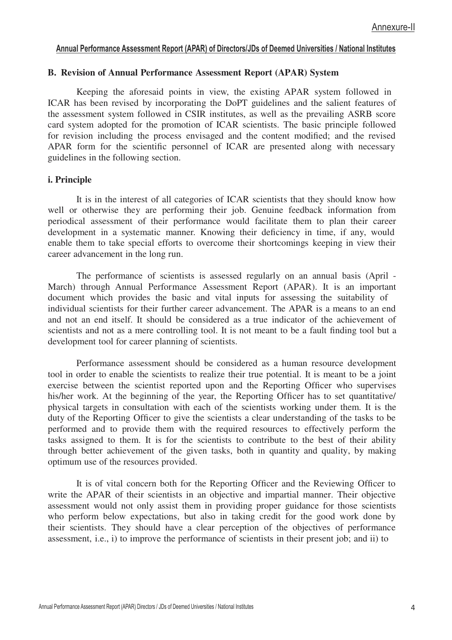#### **B. Revision of Annual Performance Assessment Report (APAR) System**

Keeping the aforesaid points in view, the existing APAR system followed in ICAR has been revised by incorporating the DoPT guidelines and the salient features of the assessment system followed in CSIR institutes, as well as the prevailing ASRB score card system adopted for the promotion of ICAR scientists. The basic principle followed for revision including the process envisaged and the content modified; and the revised APAR form for the scientific personnel of ICAR are presented along with necessary guidelines in the following section.

#### **i. Principle**

It is in the interest of all categories of ICAR scientists that they should know how well or otherwise they are performing their job. Genuine feedback information from periodical assessment of their performance would facilitate them to plan their career development in a systematic manner. Knowing their deficiency in time, if any, would enable them to take special efforts to overcome their shortcomings keeping in view their career advancement in the long run.

The performance of scientists is assessed regularly on an annual basis (April - March) through Annual Performance Assessment Report (APAR). It is an important document which provides the basic and vital inputs for assessing the suitability of individual scientists for their further career advancement. The APAR is a means to an end and not an end itself. It should be considered as a true indicator of the achievement of scientists and not as a mere controlling tool. It is not meant to be a fault finding tool but a development tool for career planning of scientists.

Performance assessment should be considered as a human resource development tool in order to enable the scientists to realize their true potential. It is meant to be a joint exercise between the scientist reported upon and the Reporting Officer who supervises his/her work. At the beginning of the year, the Reporting Officer has to set quantitative/ physical targets in consultation with each of the scientists working under them. It is the duty of the Reporting Officer to give the scientists a clear understanding of the tasks to be performed and to provide them with the required resources to effectively perform the tasks assigned to them. It is for the scientists to contribute to the best of their ability through better achievement of the given tasks, both in quantity and quality, by making optimum use of the resources provided.

It is of vital concern both for the Reporting Officer and the Reviewing Officer to write the APAR of their scientists in an objective and impartial manner. Their objective assessment would not only assist them in providing proper guidance for those scientists who perform below expectations, but also in taking credit for the good work done by their scientists. They should have a clear perception of the objectives of performance assessment, i.e., i) to improve the performance of scientists in their present job; and ii) to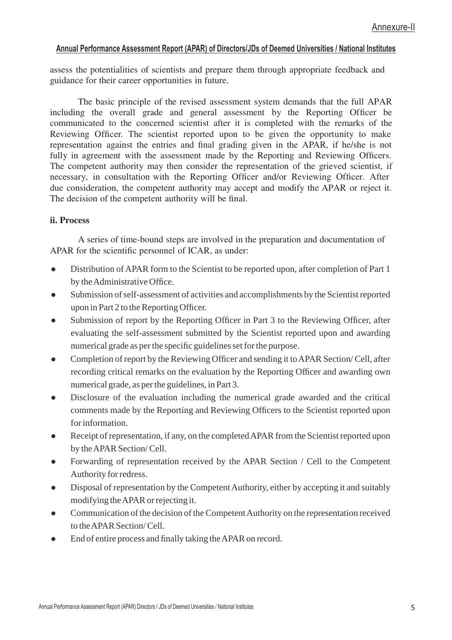assess the potentialities of scientists and prepare them through appropriate feedback and guidance for their career opportunities in future.

The basic principle of the revised assessment system demands that the full APAR including the overall grade and general assessment by the Reporting Officer be communicated to the concerned scientist after it is completed with the remarks of the Reviewing Officer. The scientist reported upon to be given the opportunity to make representation against the entries and final grading given in the APAR, if he/she is not fully in agreement with the assessment made by the Reporting and Reviewing Officers. The competent authority may then consider the representation of the grieved scientist, if necessary, in consultation with the Reporting Officer and/or Reviewing Officer. After due consideration, the competent authority may accept and modify the APAR or reject it. The decision of the competent authority will be final.

#### **ii. Process**

A series of time-bound steps are involved in the preparation and documentation of APAR for the scientific personnel of ICAR, as under:

- Distribution of APAR form to the Scientist to be reported upon, after completion of Part 1 by the Administrative Office.
- Submission of self-assessment of activities and accomplishments by the Scientist reported upon in Part 2 to the Reporting Officer.
- $\bullet$  Submission of report by the Reporting Officer in Part 3 to the Reviewing Officer, after evaluating the self-assessment submitted by the Scientist reported upon and awarding numerical grade as per the specific guidelines set for the purpose.
- Completion of report by the Reviewing Officer and sending it to APAR Section/ Cell, after recording critical remarks on the evaluation by the Reporting Officer and awarding own numerical grade, as per the guidelines, in Part 3.
- Disclosure of the evaluation including the numerical grade awarded and the critical comments made by the Reporting and Reviewing Officers to the Scientist reported upon for information.
- Receipt of representation, if any, on the completed APAR from the Scientist reported upon by the APAR Section/ Cell.
- Forwarding of representation received by the APAR Section / Cell to the Competent Authority for redress.
- Disposal of representation by the Competent Authority, either by accepting it and suitably modifying the APAR or rejecting it.
- Communication of the decision of the Competent Authority on the representation received to the APAR Section/ Cell.
- $\bullet$  End of entire process and finally taking the APAR on record.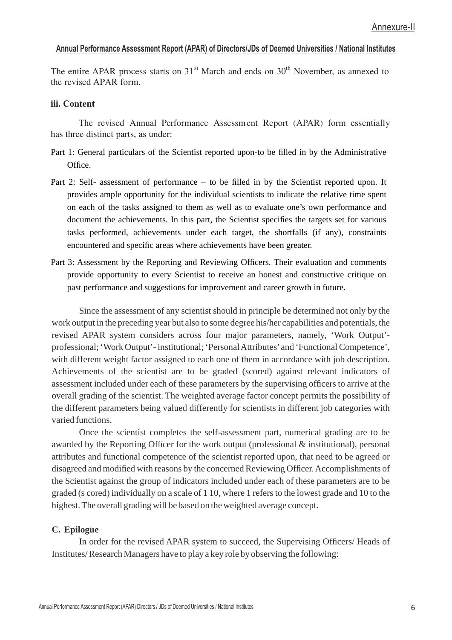The entire APAR process starts on  $31<sup>st</sup>$  March and ends on  $30<sup>th</sup>$  November, as annexed to the revised APAR form.

#### **iii. Content**

The revised Annual Performance Assessment Report (APAR) form essentially has three distinct parts, as under:

- Part 1: General particulars of the Scientist reported upon-to be filled in by the Administrative  $Offce$
- Part 2: Self- assessment of performance  $-$  to be filled in by the Scientist reported upon. It provides ample opportunity for the individual scientists to indicate the relative time spent on each of the tasks assigned to them as well as to evaluate one's own performance and document the achievements. In this part, the Scientist specifies the targets set for various tasks performed, achievements under each target, the shortfalls (if any), constraints encountered and specific areas where achievements have been greater.
- Part 3: Assessment by the Reporting and Reviewing Officers. Their evaluation and comments provide opportunity to every Scientist to receive an honest and constructive critique on past performance and suggestions for improvement and career growth in future.

Since the assessment of any scientist should in principle be determined not only by the work output in the preceding year but also to some degree his/her capabilities and potentials, the revised APAR system considers across four major parameters, namely, 'Work Output' professional; 'Work Output'- institutional; 'Personal Attributes'and 'Functional Competence', with different weight factor assigned to each one of them in accordance with job description. Achievements of the scientist are to be graded (scored) against relevant indicators of assessment included under each of these parameters by the supervising officers to arrive at the overall grading of the scientist. The weighted average factor concept permits the possibility of the different parameters being valued differently for scientists in different job categories with varied functions.

Once the scientist completes the self-assessment part, numerical grading are to be awarded by the Reporting Officer for the work output (professional & institutional), personal attributes and functional competence of the scientist reported upon, that need to be agreed or disagreed and modified with reasons by the concerned Reviewing Officer. Accomplishments of the Scientist against the group of indicators included under each of these parameters are to be graded (s cored) individually on a scale of 1 10, where 1 refers to the lowest grade and 10 to the highest. The overall grading will be based on the weighted average concept.

#### **C. Epilogue**

In order for the revised APAR system to succeed, the Supervising Officers/ Heads of Institutes/ Research Managers have to play a key role by observing the following: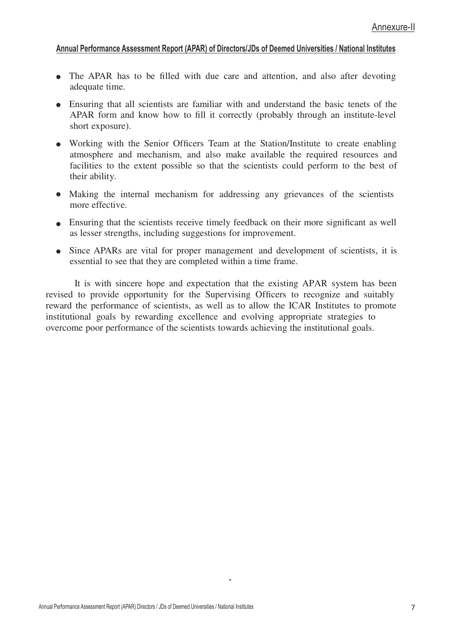- The APAR has to be filled with due care and attention, and also after devoting adequate time.
- Ensuring that all scientists are familiar with and understand the basic tenets of the APAR form and know how to fill it correctly (probably through an institute-level short exposure).
- Working with the Senior Officers Team at the Station/Institute to create enabling atmosphere and mechanism, and also make available the required resources and facilities to the extent possible so that the scientists could perform to the best of their ability.
- Making the internal mechanism for addressing any grievances of the scientists more effective.
- Ensuring that the scientists receive timely feedback on their more significant as well as lesser strengths, including suggestions for improvement.
- Since APARs are vital for proper management and development of scientists, it is essential to see that they are completed within a time frame.

It is with sincere hope and expectation that the existing APAR system has been revised to provide opportunity for the Supervising Officers to recognize and suitably reward the performance of scientists, as well as to allow the ICAR Institutes to promote institutional goals by rewarding excellence and evolving appropriate strategies to overcome poor performance of the scientists towards achieving the institutional goals.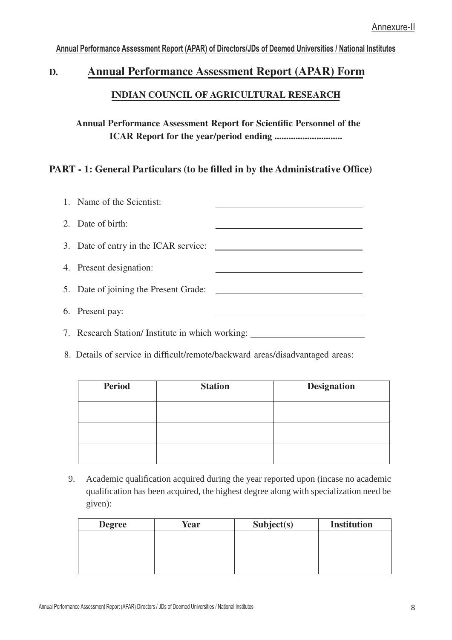## **D. Annual Performance Assessment Report (APAR) Form INDIAN COUNCIL OF AGRICULTURAL RESEARCH**

## **Annual Performance Assessment Report for Scientific Personnel of the ICAR Report for the year/period ending .............................**

## **PART - 1: General Particulars (to be filled in by the Administrative Office)**

| 1. Name of the Scientist:                        |  |
|--------------------------------------------------|--|
| 2. Date of birth:                                |  |
| 3. Date of entry in the ICAR service:            |  |
| 4. Present designation:                          |  |
| 5. Date of joining the Present Grade:            |  |
| 6. Present pay:                                  |  |
| 7. Research Station/ Institute in which working: |  |

8. Details of service in difficult/remote/backward areas/disadvantaged areas:

| <b>Period</b> | <b>Station</b> | <b>Designation</b> |
|---------------|----------------|--------------------|
|               |                |                    |
|               |                |                    |
|               |                |                    |

9. Academic qualification acquired during the year reported upon (incase no academic qualification has been acquired, the highest degree along with specialization need be given):

| <b>Degree</b> | Year | Subject(s) | <b>Institution</b> |
|---------------|------|------------|--------------------|
|               |      |            |                    |
|               |      |            |                    |
|               |      |            |                    |
|               |      |            |                    |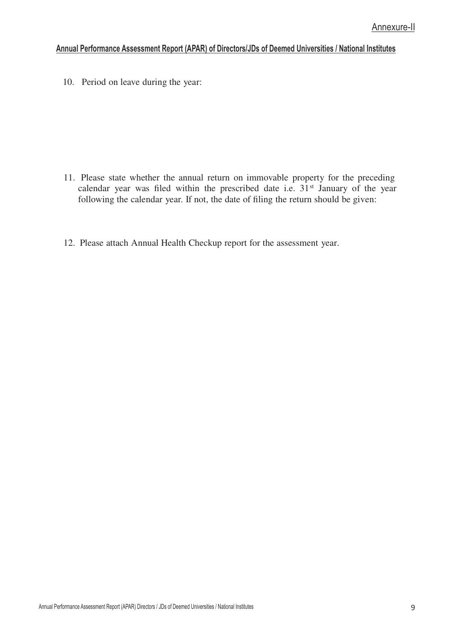10. Period on leave during the year:

- 11. Please state whether the annual return on immovable property for the preceding calendar year was filed within the prescribed date i.e.  $31<sup>st</sup>$  January of the year following the calendar year. If not, the date of filing the return should be given:
- 12. Please attach Annual Health Checkup report for the assessment year.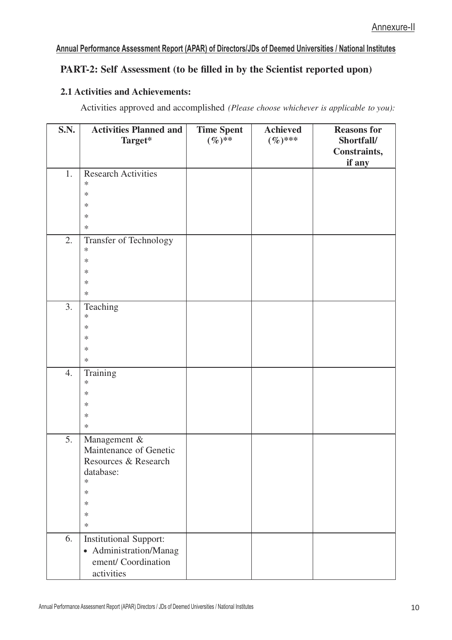## **PART-2: Self Assessment (to be filled in by the Scientist reported upon)**

#### **2.1 Activities and Achievements:**

Activities approved and accomplished *(Please choose whichever is applicable to you):*

| <b>S.N.</b> | <b>Activities Planned and</b><br>Target*                                                                                      | <b>Time Spent</b><br>$(\%)^{**}$ | <b>Achieved</b><br>$(\%)$ *** | <b>Reasons for</b><br>Shortfall/<br>Constraints,<br>if any |
|-------------|-------------------------------------------------------------------------------------------------------------------------------|----------------------------------|-------------------------------|------------------------------------------------------------|
| 1.          | <b>Research Activities</b><br>$\ast$<br>$\ast$<br>$\ast$<br>$\ast$<br>$\ast$                                                  |                                  |                               |                                                            |
| 2.          | Transfer of Technology<br>$\ast$<br>$\ast$<br>$\ast$<br>$\ast$<br>$\ast$                                                      |                                  |                               |                                                            |
| 3.          | Teaching<br>$\ast$<br>$\ast$<br>$\ast$<br>$\ast$<br>$\ast$                                                                    |                                  |                               |                                                            |
| 4.          | Training<br>$\ast$<br>$\ast$<br>$\ast$<br>$\ast$<br>$\ast$                                                                    |                                  |                               |                                                            |
| 5.          | Management &<br>Maintenance of Genetic<br>Resources & Research<br>database:<br>$\ast$<br>$\ast$<br>$\ast$<br>$\ast$<br>$\ast$ |                                  |                               |                                                            |
| 6.          | <b>Institutional Support:</b><br>• Administration/Manag<br>ement/ Coordination<br>activities                                  |                                  |                               |                                                            |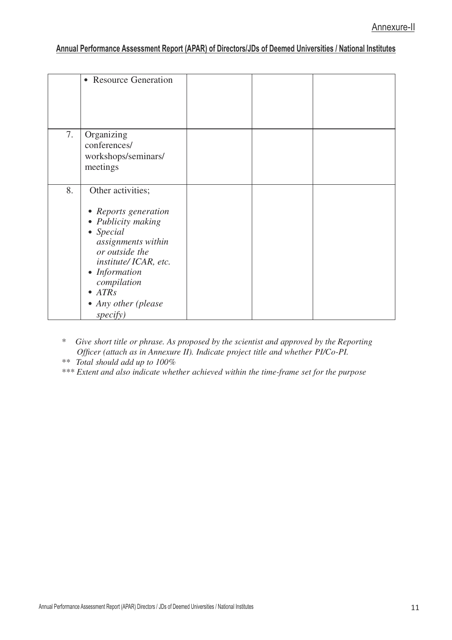|    | • Resource Generation                                                                                                                                                                                                                     |  |  |
|----|-------------------------------------------------------------------------------------------------------------------------------------------------------------------------------------------------------------------------------------------|--|--|
| 7. | Organizing<br>conferences/<br>workshops/seminars/<br>meetings                                                                                                                                                                             |  |  |
| 8. | Other activities;<br>• Reports generation<br>• Publicity making<br>$\bullet$ Special<br>assignments within<br>or outside the<br>institute/ICAR, etc.<br>• Information<br>compilation<br>$\bullet$ ATRs<br>• Any other (please<br>specify) |  |  |

*\* Give short title or phrase. As proposed by the scientist and approved by the Reporting Officer (attach as in Annexure II). Indicate project title and whether PI/Co-PI.*

*\*\* Total should add up to 100%*

*\*\*\* Extent and also indicate whether achieved within the time-frame set for the purpose*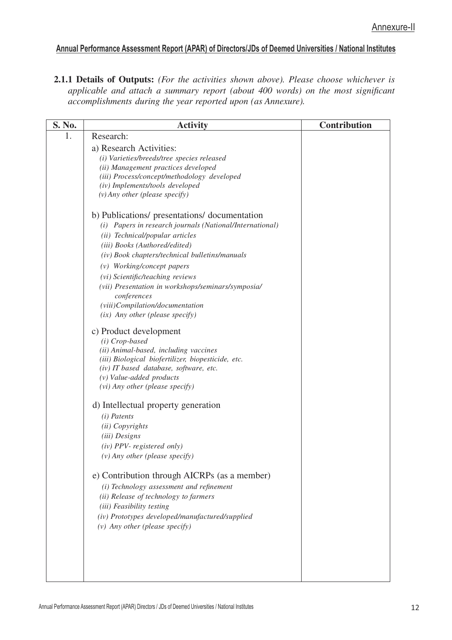**2.1.1 Details of Outputs:** *(For the activities shown above). Please choose whichever is applicable and attach a summary report (about 400 words) on the most significant accomplishments during the year reported upon (as Annexure).*

| S. No. | <b>Activity</b>                                                      | <b>Contribution</b> |
|--------|----------------------------------------------------------------------|---------------------|
| 1.     | Research:                                                            |                     |
|        | a) Research Activities:                                              |                     |
|        | (i) Varieties/breeds/tree species released                           |                     |
|        | (ii) Management practices developed                                  |                     |
|        | (iii) Process/concept/methodology developed                          |                     |
|        | (iv) Implements/tools developed<br>$(v)$ Any other (please specify)  |                     |
|        |                                                                      |                     |
|        | b) Publications/ presentations/ documentation                        |                     |
|        | (i) Papers in research journals (National/International)             |                     |
|        | (ii) Technical/popular articles                                      |                     |
|        | (iii) Books (Authored/edited)                                        |                     |
|        | (iv) Book chapters/technical bulletins/manuals                       |                     |
|        | (v) Working/concept papers                                           |                     |
|        | (vi) Scientific/teaching reviews                                     |                     |
|        | (vii) Presentation in workshops/seminars/symposia/                   |                     |
|        | conferences                                                          |                     |
|        | (viii)Compilation/documentation                                      |                     |
|        | $(ix)$ Any other (please specify)                                    |                     |
|        | c) Product development                                               |                     |
|        | (i) Crop-based                                                       |                     |
|        | (ii) Animal-based, including vaccines                                |                     |
|        | (iii) Biological biofertilizer, biopesticide, etc.                   |                     |
|        | (iv) IT based database, software, etc.<br>$(v)$ Value-added products |                     |
|        | (vi) Any other (please specify)                                      |                     |
|        |                                                                      |                     |
|        | d) Intellectual property generation                                  |                     |
|        | $(i)$ Patents                                                        |                     |
|        | (ii) Copyrights                                                      |                     |
|        | (iii) Designs                                                        |                     |
|        | $(iv)$ PPV- registered only)                                         |                     |
|        | $(v)$ Any other (please specify)                                     |                     |
|        | e) Contribution through AICRPs (as a member)                         |                     |
|        | (i) Technology assessment and refinement                             |                     |
|        | (ii) Release of technology to farmers                                |                     |
|        | (iii) Feasibility testing                                            |                     |
|        | (iv) Prototypes developed/manufactured/supplied                      |                     |
|        | $(v)$ Any other (please specify)                                     |                     |
|        |                                                                      |                     |
|        |                                                                      |                     |
|        |                                                                      |                     |
|        |                                                                      |                     |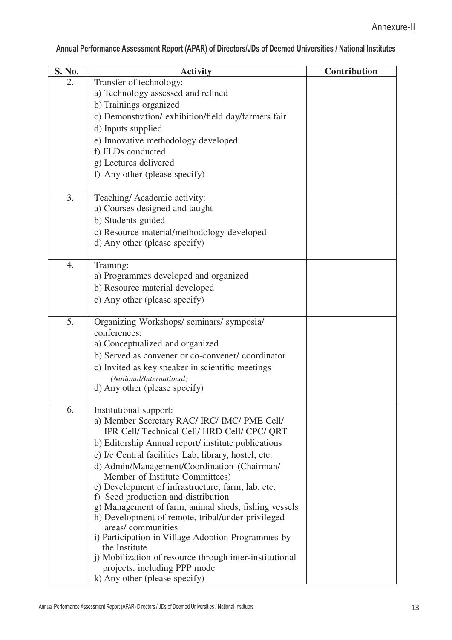| S. No. | <b>Activity</b>                                                                | <b>Contribution</b> |
|--------|--------------------------------------------------------------------------------|---------------------|
| 2.     | Transfer of technology:                                                        |                     |
|        | a) Technology assessed and refined                                             |                     |
|        | b) Trainings organized                                                         |                     |
|        | c) Demonstration/ exhibition/field day/farmers fair                            |                     |
|        | d) Inputs supplied                                                             |                     |
|        | e) Innovative methodology developed<br>f) FLDs conducted                       |                     |
|        | g) Lectures delivered                                                          |                     |
|        | f) Any other (please specify)                                                  |                     |
|        |                                                                                |                     |
| 3.     | Teaching/Academic activity:                                                    |                     |
|        | a) Courses designed and taught                                                 |                     |
|        | b) Students guided                                                             |                     |
|        | c) Resource material/methodology developed                                     |                     |
|        | d) Any other (please specify)                                                  |                     |
| 4.     | Training:                                                                      |                     |
|        | a) Programmes developed and organized                                          |                     |
|        | b) Resource material developed                                                 |                     |
|        | c) Any other (please specify)                                                  |                     |
|        |                                                                                |                     |
| 5.     | Organizing Workshops/ seminars/ symposia/                                      |                     |
|        | conferences:                                                                   |                     |
|        | a) Conceptualized and organized                                                |                     |
|        | b) Served as convener or co-convener/ coordinator                              |                     |
|        | c) Invited as key speaker in scientific meetings                               |                     |
|        | (National/International)<br>d) Any other (please specify)                      |                     |
|        |                                                                                |                     |
| 6.     | Institutional support:                                                         |                     |
|        | a) Member Secretary RAC/ IRC/ IMC/ PME Cell/                                   |                     |
|        | IPR Cell/ Technical Cell/ HRD Cell/ CPC/ QRT                                   |                     |
|        | b) Editorship Annual report/institute publications                             |                     |
|        | c) I/c Central facilities Lab, library, hostel, etc.                           |                     |
|        | d) Admin/Management/Coordination (Chairman/<br>Member of Institute Committees) |                     |
|        | e) Development of infrastructure, farm, lab, etc.                              |                     |
|        | f) Seed production and distribution                                            |                     |
|        | g) Management of farm, animal sheds, fishing vessels                           |                     |
|        | h) Development of remote, tribal/under privileged                              |                     |
|        | areas/communities<br>i) Participation in Village Adoption Programmes by        |                     |
|        | the Institute                                                                  |                     |
|        | j) Mobilization of resource through inter-institutional                        |                     |
|        | projects, including PPP mode                                                   |                     |
|        | k) Any other (please specify)                                                  |                     |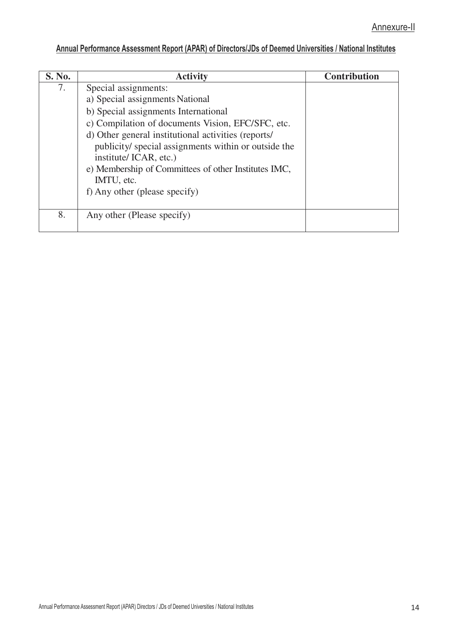| S. No. | <b>Activity</b>                                      | <b>Contribution</b> |
|--------|------------------------------------------------------|---------------------|
| 7.     | Special assignments:                                 |                     |
|        | a) Special assignments National                      |                     |
|        | b) Special assignments International                 |                     |
|        | c) Compilation of documents Vision, EFC/SFC, etc.    |                     |
|        | d) Other general institutional activities (reports/  |                     |
|        | publicity/ special assignments within or outside the |                     |
|        | institute/ICAR, etc.)                                |                     |
|        | e) Membership of Committees of other Institutes IMC, |                     |
|        | IMTU, etc.                                           |                     |
|        | f) Any other (please specify)                        |                     |
|        |                                                      |                     |
| 8.     | Any other (Please specify)                           |                     |
|        |                                                      |                     |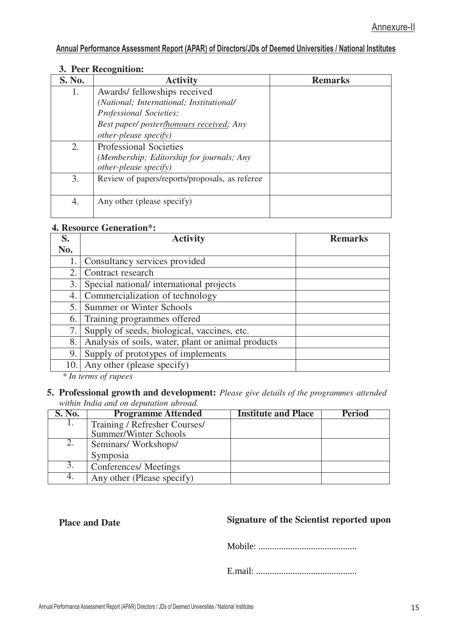#### **3. Peer Recognition:**

| S. No. | <b>Activity</b>                                | <b>Remarks</b> |
|--------|------------------------------------------------|----------------|
| 1.     | Awards/ fellowships received                   |                |
|        | (National; International; Institutional/       |                |
|        | Professional Societies;                        |                |
|        | Best paper/ poster/honours received; Any       |                |
|        | <i>other-please specify</i> )                  |                |
| 2.     | <b>Professional Societies</b>                  |                |
|        | (Membership; Editorship for journals; Any      |                |
|        | <i>other-please specify</i> )                  |                |
| 3.     | Review of papers/reports/proposals, as referee |                |
| 4.     | Any other (please specify)                     |                |

#### **4. Resource Generation\*:**

| S.  | <b>Activity</b>                                    | <b>Remarks</b> |
|-----|----------------------------------------------------|----------------|
| No. |                                                    |                |
| 1.  | Consultancy services provided                      |                |
| 2.  | Contract research                                  |                |
| 3.  | Special national/international projects            |                |
| 4.  | Commercialization of technology                    |                |
| 5.  | Summer or Winter Schools                           |                |
| 6.  | Training programmes offered                        |                |
| 7.  | Supply of seeds, biological, vaccines, etc.        |                |
| 8.  | Analysis of soils, water, plant or animal products |                |
| 9.  | Supply of prototypes of implements                 |                |
| 10. | Any other (please specify)                         |                |

*\* In terms of rupees*

#### **5. Professional growth and development:** *Please give details of the programmes attended within India and on deputation abroad.*

| <b>S. No.</b> | <b>Programme Attended</b>     | <b>Institute and Place</b> | <b>Period</b> |
|---------------|-------------------------------|----------------------------|---------------|
|               | Training / Refresher Courses/ |                            |               |
|               | Summer/Winter Schools         |                            |               |
| 2.            | Seminars/Workshops/           |                            |               |
|               | Symposia                      |                            |               |
| 3.            | Conferences/Meetings          |                            |               |
| 4.            | Any other (Please specify)    |                            |               |

## **Place and Date Signature of the Scientist reported upon**

Mobile: ...........................................

E.mail: ............................................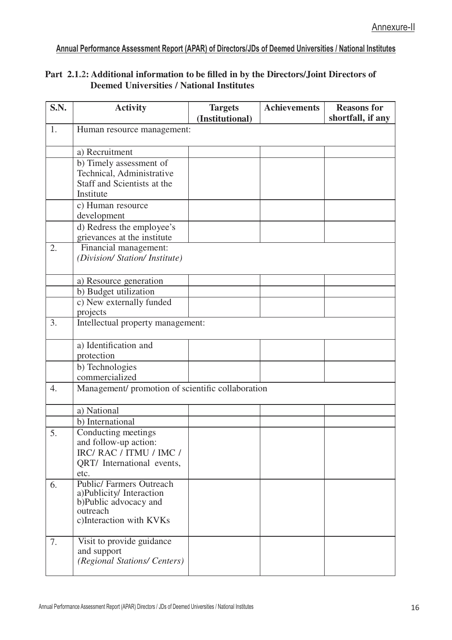#### **Part 2.1.2: Additional information to be filled in by the Directors/Joint Directors of Deemed Universities / National Institutes**

| S.N.             | <b>Activity</b>                                                                                               | <b>Targets</b><br>(Institutional) | <b>Achievements</b> | <b>Reasons for</b><br>shortfall, if any |  |  |  |
|------------------|---------------------------------------------------------------------------------------------------------------|-----------------------------------|---------------------|-----------------------------------------|--|--|--|
| 1.               | Human resource management:                                                                                    |                                   |                     |                                         |  |  |  |
|                  | a) Recruitment                                                                                                |                                   |                     |                                         |  |  |  |
|                  | b) Timely assessment of                                                                                       |                                   |                     |                                         |  |  |  |
|                  | Technical, Administrative                                                                                     |                                   |                     |                                         |  |  |  |
|                  | Staff and Scientists at the                                                                                   |                                   |                     |                                         |  |  |  |
|                  | Institute                                                                                                     |                                   |                     |                                         |  |  |  |
|                  | c) Human resource<br>development                                                                              |                                   |                     |                                         |  |  |  |
|                  | d) Redress the employee's                                                                                     |                                   |                     |                                         |  |  |  |
|                  | grievances at the institute                                                                                   |                                   |                     |                                         |  |  |  |
| 2.               | Financial management:<br>(Division/ Station/ Institute)                                                       |                                   |                     |                                         |  |  |  |
|                  | a) Resource generation                                                                                        |                                   |                     |                                         |  |  |  |
|                  | b) Budget utilization                                                                                         |                                   |                     |                                         |  |  |  |
|                  | c) New externally funded<br>projects                                                                          |                                   |                     |                                         |  |  |  |
| 3.               | Intellectual property management:                                                                             |                                   |                     |                                         |  |  |  |
|                  | a) Identification and<br>protection                                                                           |                                   |                     |                                         |  |  |  |
|                  | b) Technologies<br>commercialized                                                                             |                                   |                     |                                         |  |  |  |
| $\overline{4}$ . | Management/ promotion of scientific collaboration                                                             |                                   |                     |                                         |  |  |  |
|                  | a) National                                                                                                   |                                   |                     |                                         |  |  |  |
|                  | b) International                                                                                              |                                   |                     |                                         |  |  |  |
| 5.               | Conducting meetings<br>and follow-up action:<br>IRC/ RAC / ITMU / IMC /<br>QRT/ International events,<br>etc. |                                   |                     |                                         |  |  |  |
| 6.               | <b>Public/Farmers Outreach</b>                                                                                |                                   |                     |                                         |  |  |  |
|                  | a)Publicity/Interaction<br>b)Public advocacy and<br>outreach<br>c)Interaction with KVKs                       |                                   |                     |                                         |  |  |  |
| 7.               | Visit to provide guidance<br>and support<br>(Regional Stations/ Centers)                                      |                                   |                     |                                         |  |  |  |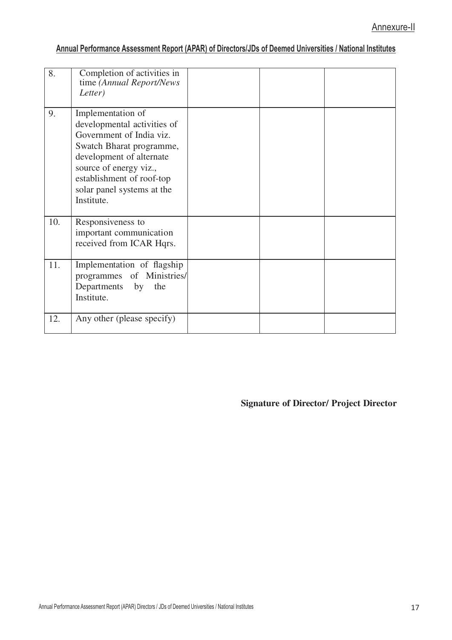| 8.  | Completion of activities in<br>time (Annual Report/News<br>Letter)                                                                                                                                                                      |  |  |
|-----|-----------------------------------------------------------------------------------------------------------------------------------------------------------------------------------------------------------------------------------------|--|--|
| 9.  | Implementation of<br>developmental activities of<br>Government of India viz.<br>Swatch Bharat programme,<br>development of alternate<br>source of energy viz.,<br>establishment of roof-top<br>solar panel systems at the<br>Institute. |  |  |
| 10. | Responsiveness to<br>important communication<br>received from ICAR Hqrs.                                                                                                                                                                |  |  |
| 11. | Implementation of flagship<br>programmes of Ministries/<br>Departments<br>by<br>the<br>Institute.                                                                                                                                       |  |  |
| 12. | Any other (please specify)                                                                                                                                                                                                              |  |  |

**Signature of Director/ Project Director**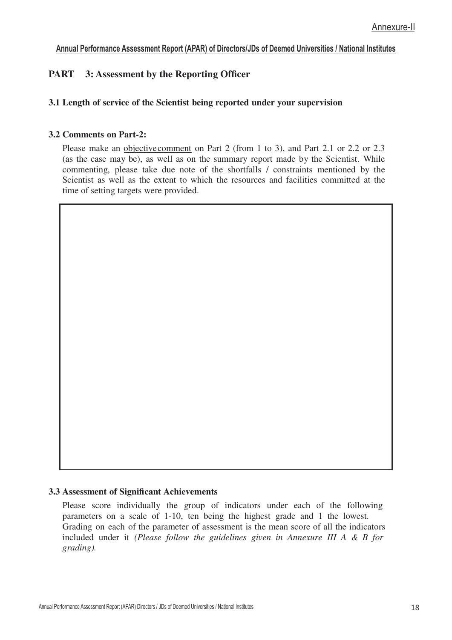## **PART 3: Assessment by the Reporting Officer**

#### **3.1 Length of service of the Scientist being reported under your supervision**

#### **3.2 Comments on Part-2:**

Please make an objective comment on Part 2 (from 1 to 3), and Part 2.1 or 2.2 or 2.3 (as the case may be), as well as on the summary report made by the Scientist. While commenting, please take due note of the shortfalls / constraints mentioned by the Scientist as well as the extent to which the resources and facilities committed at the time of setting targets were provided.

#### **3.3 Assessment of Significant Achievements**

Please score individually the group of indicators under each of the following parameters on a scale of 1-10, ten being the highest grade and 1 the lowest. Grading on each of the parameter of assessment is the mean score of all the indicators included under it *(Please follow the guidelines given in Annexure III A & B for grading).*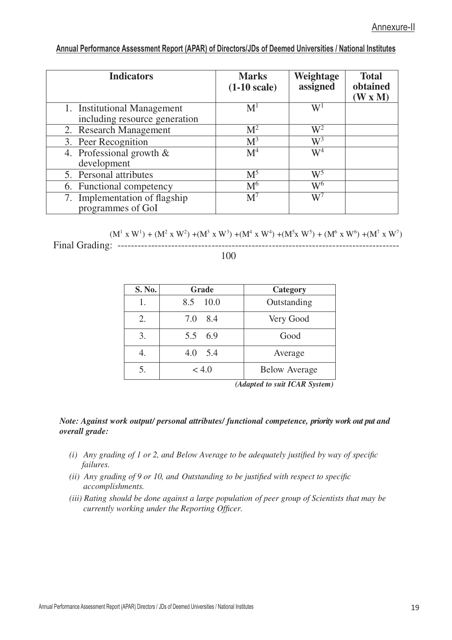| <b>Indicators</b>                                            | <b>Marks</b><br>$(1-10 scale)$ | <b>Weightage</b><br>assigned | <b>Total</b><br>obtained<br>(W x M) |
|--------------------------------------------------------------|--------------------------------|------------------------------|-------------------------------------|
| 1. Institutional Management<br>including resource generation | $\mathbf{M}^1$                 | $\mathrm{W}^1$               |                                     |
| 2. Research Management                                       | M <sup>2</sup>                 | $W^2$                        |                                     |
| 3. Peer Recognition                                          | $M^3$                          | $W^3$                        |                                     |
| 4. Professional growth $\&$<br>development                   | M <sup>4</sup>                 | $W^4$                        |                                     |
| 5. Personal attributes                                       | M <sup>5</sup>                 | $W^5$                        |                                     |
| 6. Functional competency                                     | $\mathrm{M}^6$                 | W <sup>6</sup>               |                                     |
| 7. Implementation of flagship<br>programmes of GoI           | $M^7$                          | $W^7$                        |                                     |

 $(M^{1} \times W^{1}) + (M^{2} \times W^{2}) + (M^{3} \times W^{3}) + (M^{4} \times W^{4}) + (M^{5} \times W^{5}) + (M^{6} \times W^{6}) + (M^{7} \times W^{7})$ Final Grading: ------------------------------------------------------------------------------------

#### 100

| S. No. | Grade       | Category             |
|--------|-------------|----------------------|
| 1.     | 10.0<br>8.5 | Outstanding          |
| 2.     | 7.0 8.4     | Very Good            |
| 3.     | 5.5 6.9     | Good                 |
| 4.     | 4.0 5.4     | Average              |
| 5.     | < 4.0       | <b>Below Average</b> |

*(Adapted to suit ICAR System)*

#### *Note: Against work output/ personal attributes/ functional competence, priority work out put and overall grade:*

- *(i) Any grading of 1 or 2, and Below Average to be adequately justified by way of specific failures.*
- *(ii) Any grading of 9 or 10, and Outstanding to be justified with respect to specific accomplishments.*
- *(iii) Rating should be done against a large population of peer group of Scientists that may be currently working under the Reporting Officer.*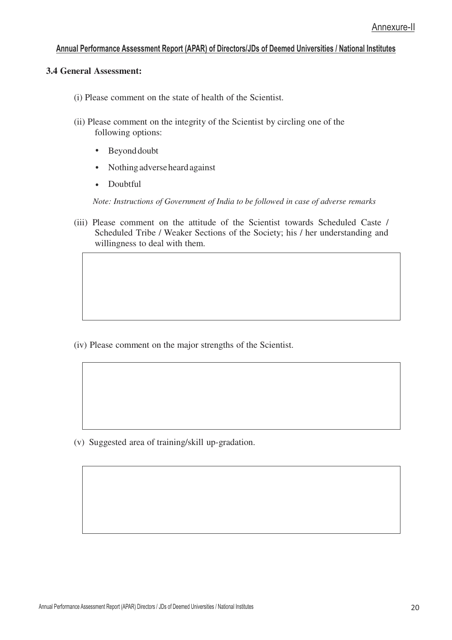#### **3.4 General Assessment:**

- (i) Please comment on the state of health of the Scientist.
- (ii) Please comment on the integrity of the Scientist by circling one of the following options:
	- $\bullet$ Beyond doubt
	- Nothing adverse heard against  $\bullet$
	- Doubtful  $\bullet$

*Note: Instructions of Government of India to be followed in case of adverse remarks*

(iii) Please comment on the attitude of the Scientist towards Scheduled Caste / Scheduled Tribe / Weaker Sections of the Society; his / her understanding and willingness to deal with them.

(iv) Please comment on the major strengths of the Scientist.

(v) Suggested area of training/skill up-gradation.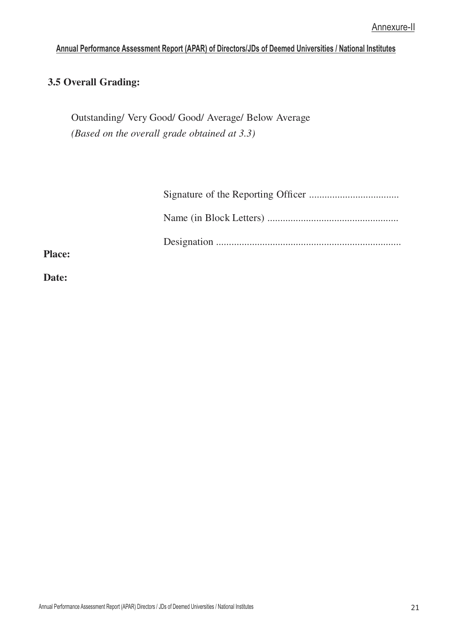## **3.5 Overall Grading:**

Outstanding/ Very Good/ Good/ Average/ Below Average *(Based on the overall grade obtained at 3.3)*

**Place:** 

**Date:**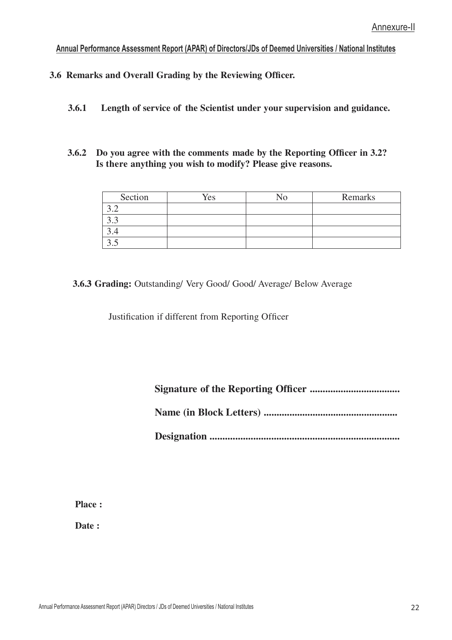**3.6 Remarks and Overall Grading by the Reviewing Officer.**

- **3.6.1 Length of service of the Scientist under your supervision and guidance.**
- **3.6.2 Do you agree with the comments made by the Reporting Officer in 3.2? Is there anything you wish to modify? Please give reasons.**

| Section | Yes | <b>AT</b><br>ง∩ | Remarks |
|---------|-----|-----------------|---------|
|         |     |                 |         |
|         |     |                 |         |
|         |     |                 |         |
| ິ       |     |                 |         |

#### **3.6.3 Grading:** Outstanding/ Very Good/ Good/ Average/ Below Average

Justification if different from Reporting Officer

**Signature of the Reporting Officer ...................................**

**Name (in Block Letters) ....................................................**

**Designation ..........................................................................**

**Place :** 

**Date :**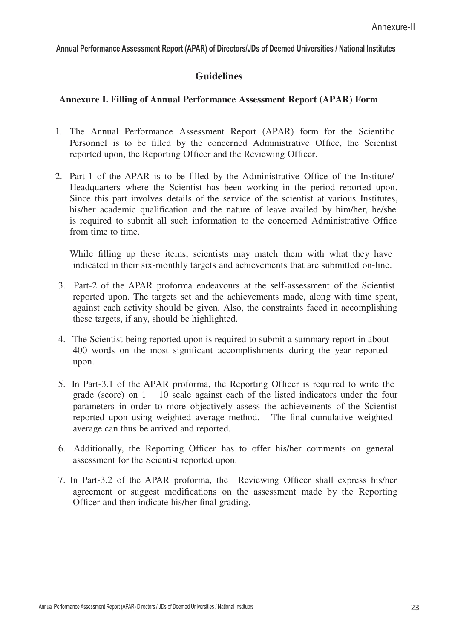## **Guidelines**

#### **Annexure I. Filling of Annual Performance Assessment Report (APAR) Form**

- 1. The Annual Performance Assessment Report (APAR) form for the Scientific Personnel is to be filled by the concerned Administrative Office, the Scientist reported upon, the Reporting Officer and the Reviewing Officer.
- 2. Part-1 of the APAR is to be filled by the Administrative Office of the Institute/ Headquarters where the Scientist has been working in the period reported upon. Since this part involves details of the service of the scientist at various Institutes, his/her academic qualification and the nature of leave availed by him/her, he/she is required to submit all such information to the concerned Administrative Office from time to time.

While filling up these items, scientists may match them with what they have indicated in their six-monthly targets and achievements that are submitted on-line.

- 3. Part-2 of the APAR proforma endeavours at the self-assessment of the Scientist reported upon. The targets set and the achievements made, along with time spent, against each activity should be given. Also, the constraints faced in accomplishing these targets, if any, should be highlighted.
- 4. The Scientist being reported upon is required to submit a summary report in about 400 words on the most significant accomplishments during the year reported upon.
- 5. In Part-3.1 of the APAR proforma, the Reporting Officer is required to write the grade (score) on 1 10 scale against each of the listed indicators under the four parameters in order to more objectively assess the achievements of the Scientist reported upon using weighted average method. The final cumulative weighted average can thus be arrived and reported.
- 6. Additionally, the Reporting Officer has to offer his/her comments on general assessment for the Scientist reported upon.
- 7. In Part-3.2 of the APAR proforma, the Reviewing Officer shall express his/her agreement or suggest modifications on the assessment made by the Reporting Officer and then indicate his/her final grading.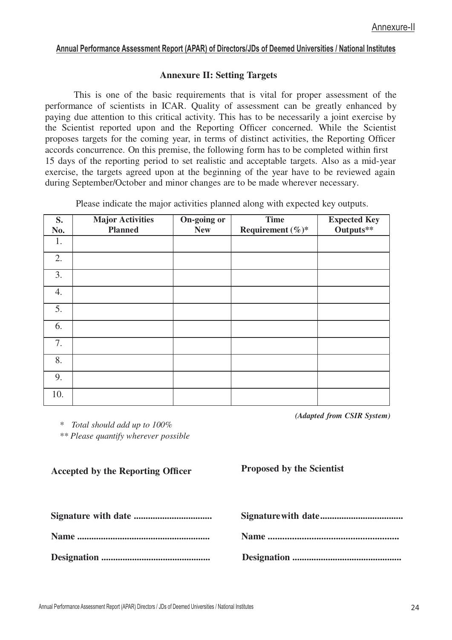#### **Annexure II: Setting Targets**

This is one of the basic requirements that is vital for proper assessment of the performance of scientists in ICAR. Quality of assessment can be greatly enhanced by paying due attention to this critical activity. This has to be necessarily a joint exercise by the Scientist reported upon and the Reporting Officer concerned. While the Scientist proposes targets for the coming year, in terms of distinct activities, the Reporting Officer accords concurrence. On this premise, the following form has to be completed within first 15 days of the reporting period to set realistic and acceptable targets. Also as a mid-year exercise, the targets agreed upon at the beginning of the year have to be reviewed again during September/October and minor changes are to be made wherever necessary.

Please indicate the major activities planned along with expected key outputs.

| S.<br>No. | <b>Major Activities</b><br><b>Planned</b> | On-going or<br><b>New</b> | <b>Time</b><br>Requirement $(\%)^*$ | <b>Expected Key</b><br>Outputs** |
|-----------|-------------------------------------------|---------------------------|-------------------------------------|----------------------------------|
| 1.        |                                           |                           |                                     |                                  |
| 2.        |                                           |                           |                                     |                                  |
| 3.        |                                           |                           |                                     |                                  |
| 4.        |                                           |                           |                                     |                                  |
| 5.        |                                           |                           |                                     |                                  |
| 6.        |                                           |                           |                                     |                                  |
| 7.        |                                           |                           |                                     |                                  |
| 8.        |                                           |                           |                                     |                                  |
| 9.        |                                           |                           |                                     |                                  |
| 10.       |                                           |                           |                                     |                                  |

*\* Total should add up to 100%*

*\*\* Please quantify wherever possible*

**Accepted by the Reporting Officer**

**Signature with date ................................. Signaturewith date ................................... Name ........................................................ Designation ..............................................**

*(Adapted from CSIR System)*

**Proposed by the Scientist**

**Name ......................................................**

**Designation ..............................................**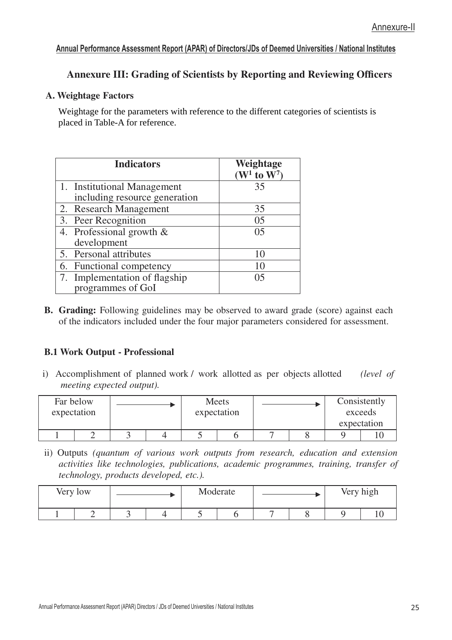## **Annexure III: Grading of Scientists by Reporting and Reviewing Officers**

#### **A. Weightage Factors**

Weightage for the parameters with reference to the different categories of scientists is placed in Table-A for reference.

| <b>Indicators</b>             | Weightage<br>$(W^1$ to $W^7)$ |
|-------------------------------|-------------------------------|
| 1. Institutional Management   | 35                            |
| including resource generation |                               |
| 2. Research Management        | 35                            |
| 3. Peer Recognition           | 0.5                           |
| 4. Professional growth $\&$   | 0 <sub>5</sub>                |
| development                   |                               |
| 5. Personal attributes        | 10                            |
| 6. Functional competency      | 10                            |
| 7. Implementation of flagship | 05                            |
| programmes of GoI             |                               |

**B.** Grading: Following guidelines may be observed to award grade (score) against each of the indicators included under the four major parameters considered for assessment.

#### **B.1 Work Output - Professional**

i) Accomplishment of planned work/ work allotted as per objects allotted *(level of meeting expected output).*

| Far below<br>expectation |  | expectation | Meets |  |  | Consistently<br>exceeds<br>expectation |  |
|--------------------------|--|-------------|-------|--|--|----------------------------------------|--|
|                          |  |             |       |  |  |                                        |  |

ii) Outputs *(quantum of various work outputs from research, education and extension activities like technologies, publications, academic programmes, training, transfer of technology, products developed, etc.).*

| Very low |  |  | Moderate |  |  | Very high |  |  |
|----------|--|--|----------|--|--|-----------|--|--|
|          |  |  |          |  |  |           |  |  |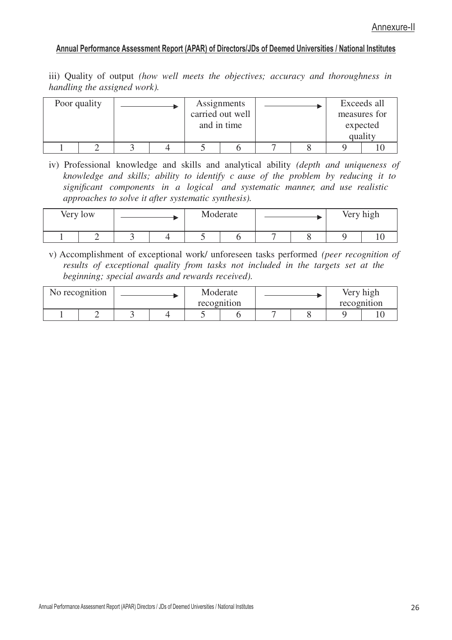iii) Quality of output *(how well meets the objectives; accuracy and thoroughness in handling the assigned work).*

| Poor quality |  | Assignments<br>carried out well<br>and in time |  |  | Exceeds all<br>measures for<br>expected<br>quality |  |  |
|--------------|--|------------------------------------------------|--|--|----------------------------------------------------|--|--|
|              |  |                                                |  |  |                                                    |  |  |

iv) Professional knowledge and skills and analytical ability *(depth and uniqueness of knowledge and skills; ability to identify c ause of the problem by reducing it to significant components in a logical and systematic manner, and use realistic approaches to solve it after systematic synthesis).*

| Very low |   |  | Moderate |  |  | Very high |  |
|----------|---|--|----------|--|--|-----------|--|
|          | ັ |  |          |  |  |           |  |

v) Accomplishment of exceptional work/ unforeseen tasks performed *(peer recognition of results of exceptional quality from tasks not included in the targets set at the beginning; special awards and rewards received).*

| No recognition |  |  | Moderate<br>recognition |  |  | Very high<br>recognition |  |
|----------------|--|--|-------------------------|--|--|--------------------------|--|
| -              |  |  |                         |  |  |                          |  |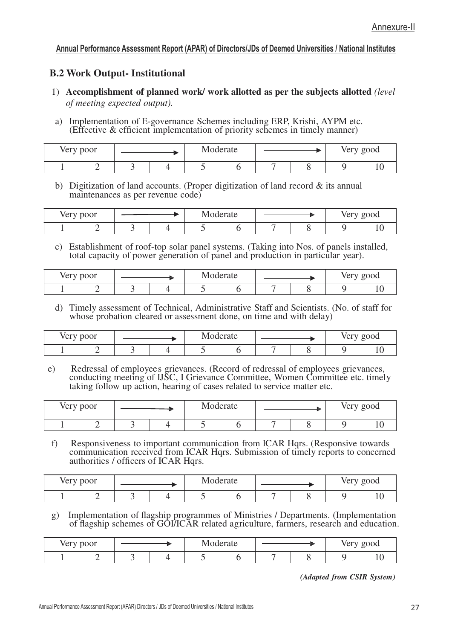#### **B.2 Work Output- Institutional**

- 1) **Accomplishment of planned work/ work allotted as per the subjects allotted** *(level of meeting expected output).*
- a) Implementation of E-governance Schemes including ERP, Krishi, AYPM etc. (Effective & efficient implementation of priority schemes in timely manner)

| Very poor |  |  | Moderate |  |  | Very good |  |
|-----------|--|--|----------|--|--|-----------|--|
|           |  |  |          |  |  |           |  |

b) Digitization of land accounts. (Proper digitization of land record & its annual maintenances as per revenue code)

| Very poor |  |  | $\blacksquare$<br>Moderate |  |  | Very good |  |
|-----------|--|--|----------------------------|--|--|-----------|--|
|           |  |  |                            |  |  |           |  |

c) Establishment of roof-top solar panel systems. (Taking into Nos. of panels installed, total capacity of power generation of panel and production in particular year).

| Very poor |  |  |  | . AT<br>Moderate |  |  |  | Very good |  |
|-----------|--|--|--|------------------|--|--|--|-----------|--|
|           |  |  |  |                  |  |  |  |           |  |

d) Timely assessment of Technical, Administrative Staff and Scientists. (No. of staff for whose probation cleared or assessment done, on time and with delay)

| Very poor |  |  | Moderate |  |  | verv<br>g000 |  |
|-----------|--|--|----------|--|--|--------------|--|
|           |  |  |          |  |  |              |  |

e) Redressal of employees grievances. (Record of redressal of employees grievances, conducting meeting of IJSC, I Grievance Committee, Women Committee etc. timely taking follow up action, hearing of cases related to service matter etc.

| Very poor |  |  | Moderate |  |  |  | Very good |  |
|-----------|--|--|----------|--|--|--|-----------|--|
| -         |  |  |          |  |  |  |           |  |

f) Responsiveness to important communication from ICAR Hqrs. (Responsive towards communication received from ICAR Hqrs. Submission of timely reports to concerned authorities / officers of ICAR Hqrs.

| Very poor |  |  | Moderate |  |  | Very good |  |
|-----------|--|--|----------|--|--|-----------|--|
|           |  |  |          |  |  |           |  |

g) Implementation of flagship programmes of Ministries / Departments. (Implementation of flagship schemes of GOI/ICAR related agriculture, farmers, research and education.

| Very poor |  |  |  | Moderate |  |  | Very good |  |
|-----------|--|--|--|----------|--|--|-----------|--|
|           |  |  |  |          |  |  |           |  |

*(Adapted from CSIR System)*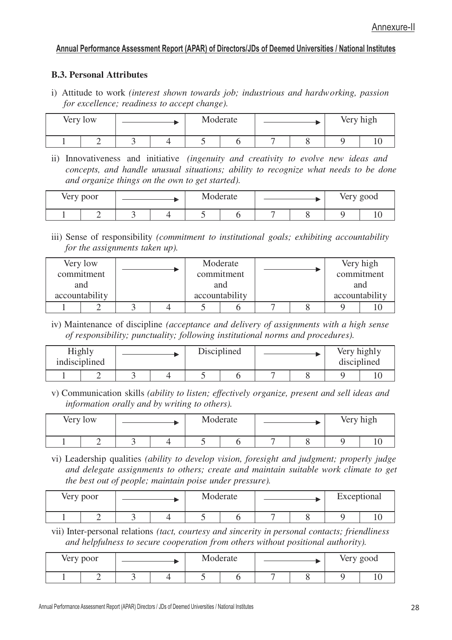#### **B.3. Personal Attributes**

i) Attitude to work *(interest shown towards job; industrious and hardw orking, passion for excellence; readiness to accept change).*

| Very low |  |  |  | Moderate |  | Very high |
|----------|--|--|--|----------|--|-----------|
|          |  |  |  |          |  |           |

ii) Innovativeness and initiative *(ingenuity and creativity to evolve new ideas and concepts, and handle unusual situations; ability to recognize what needs to be done and organize things on the own to get started).*

| Very poor |   |  |  | Moderate |  |  | Very good |  |
|-----------|---|--|--|----------|--|--|-----------|--|
|           | - |  |  |          |  |  |           |  |

iii) Sense of responsibility *(commitment to institutional goals; exhibiting accountability for the assignments taken up).*

|                | Very low<br>commitment<br>and |  |  |  | Moderate<br>commitment<br>and |  | Very high<br>commitment<br>and |
|----------------|-------------------------------|--|--|--|-------------------------------|--|--------------------------------|
| accountability |                               |  |  |  | accountability                |  | accountability                 |
|                |                               |  |  |  |                               |  |                                |

iv) Maintenance of discipline *(acceptance and delivery of assignments with a high sense of responsibility; punctuality; following institutional norms and procedures).*

| Highly<br>indisciplined |  |  | Disciplined |  | Very highly<br>disciplined |  |
|-------------------------|--|--|-------------|--|----------------------------|--|
|                         |  |  |             |  |                            |  |

v) Communication skills *(ability to listen; effectively organize, present and sell ideas and information orally and by writing to others).*

| Very low |  | Moderate |  | Very high |
|----------|--|----------|--|-----------|
| -        |  |          |  |           |

vi) Leadership qualities *(ability to develop vision, foresight and judgment; properly judge and delegate assignments to others; create and maintain suitable work climate to get the best out of people; maintain poise under pressure).*

| Very poor | Moderate |  | Exceptional |  |  |  |  |
|-----------|----------|--|-------------|--|--|--|--|
|           |          |  |             |  |  |  |  |

vii) Inter-personal relations *(tact, courtesy and sincerity in personal contacts; friendliness and helpfulness to secure cooperation from others without positional authority).*

| Very poor |  | Moderate |  | Very good |
|-----------|--|----------|--|-----------|
|           |  |          |  |           |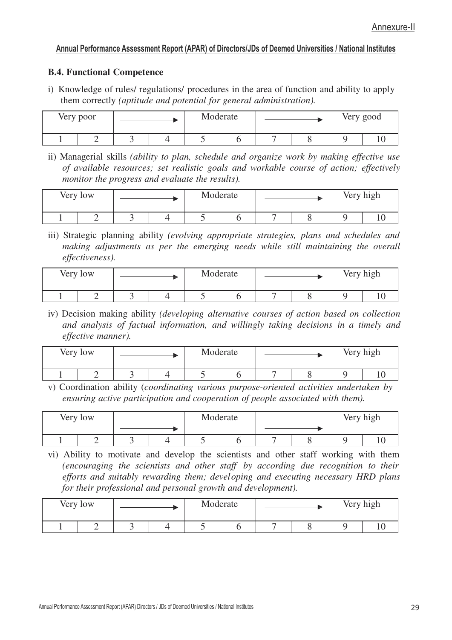#### **B.4. Functional Competence**

i) Knowledge of rules/ regulations/ procedures in the area of function and ability to apply them correctly *(aptitude and potential for general administration).*

| Very poor |  |  | Moderate | Very good |  |  |
|-----------|--|--|----------|-----------|--|--|
|           |  |  |          |           |  |  |

ii) Managerial skills *(ability to plan, schedule and organize work by making effective use of available resources; set realistic goals and workable course of action; effectively monitor the progress and evaluate the results).*

| Very low |  | Moderate |  | Very high |
|----------|--|----------|--|-----------|
|          |  |          |  |           |

iii) Strategic planning ability *(evolving appropriate strategies, plans and schedules and making adjustments as per the emerging needs while still maintaining the overall effectiveness).*

| Very low |  |  | Moderate |  | Very high |
|----------|--|--|----------|--|-----------|
|          |  |  |          |  |           |

iv) Decision making ability *(developing alternative courses of action based on collection and analysis of factual information, and willingly taking decisions in a timely and effective manner).*

| Very low |  | Moderate |  | Very high |  |  |  |
|----------|--|----------|--|-----------|--|--|--|
|          |  |          |  |           |  |  |  |

v) Coordination ability (*coordinating various purpose-oriented activities undertaken by ensuring active participation and cooperation of people associated with them).*

| Very low |  |  |     | Moderate |  |  |  | Very high |  |
|----------|--|--|-----|----------|--|--|--|-----------|--|
|          |  |  | . . |          |  |  |  |           |  |

vi) Ability to motivate and develop the scientists and other staff working with them *(encouraging the scientists and other staff by according due recognition to their efforts and suitably rewarding them; developing and executing necessary HRD plans for their professional and personal growth and development).*

| Very low |  |  | Moderate |  |  | Very high |  |
|----------|--|--|----------|--|--|-----------|--|
|          |  |  |          |  |  |           |  |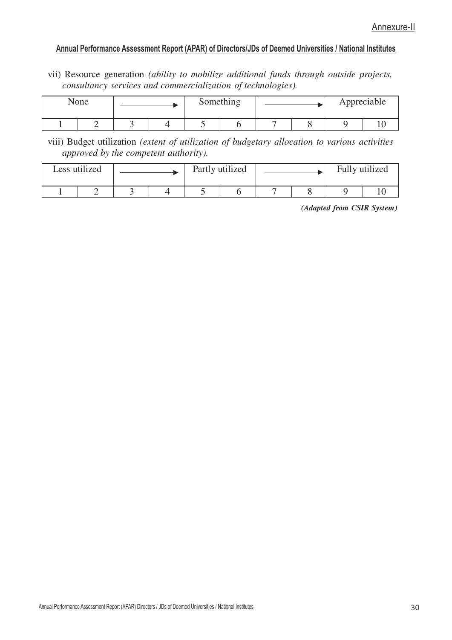vii) Resource generation *(ability to mobilize additional funds through outside projects, consultancy services and commercialization of technologies).*

| None |  |  | Something | Appreciable |  |  |  |
|------|--|--|-----------|-------------|--|--|--|
|      |  |  |           |             |  |  |  |

viii) Budget utilization *(extent of utilization of budgetary allocation to various activities approved by the competent authority).*

| Less utilized |  | Partly utilized |  | Fully utilized |
|---------------|--|-----------------|--|----------------|
|               |  |                 |  |                |

*(Adapted from CSIR System)*